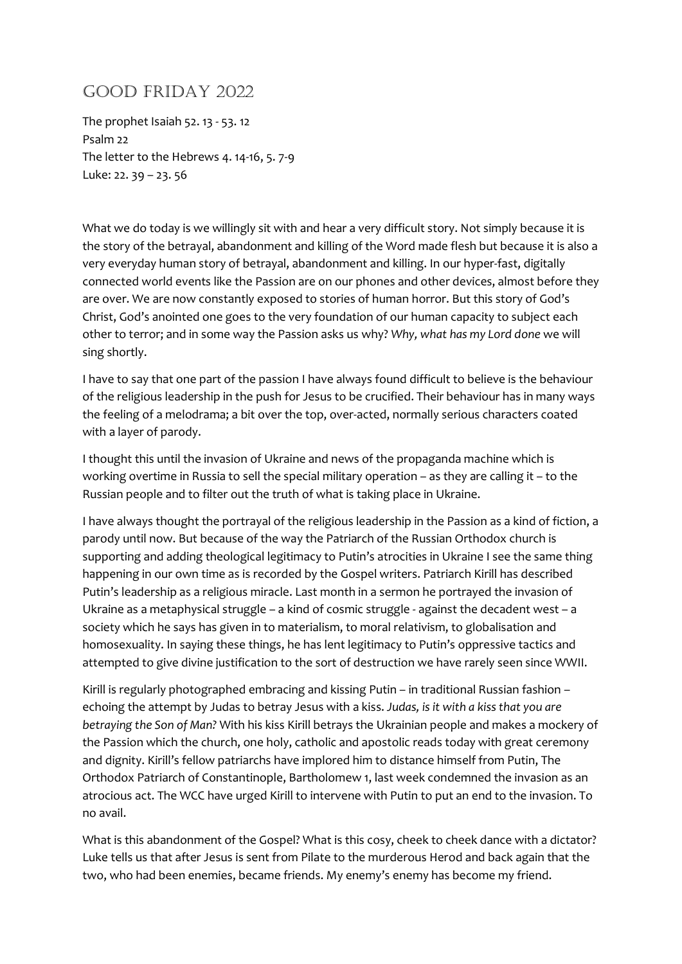## Good Friday 2022

The prophet Isaiah 52. 13 - 53. 12 Psalm 22 The letter to the Hebrews 4. 14-16, 5. 7-9 Luke: 22. 39 – 23. 56

What we do today is we willingly sit with and hear a very difficult story. Not simply because it is the story of the betrayal, abandonment and killing of the Word made flesh but because it is also a very everyday human story of betrayal, abandonment and killing. In our hyper-fast, digitally connected world events like the Passion are on our phones and other devices, almost before they are over. We are now constantly exposed to stories of human horror. But this story of God's Christ, God's anointed one goes to the very foundation of our human capacity to subject each other to terror; and in some way the Passion asks us why? Why, what has my Lord done we will sing shortly.

I have to say that one part of the passion I have always found difficult to believe is the behaviour of the religious leadership in the push for Jesus to be crucified. Their behaviour has in many ways the feeling of a melodrama; a bit over the top, over-acted, normally serious characters coated with a layer of parody.

I thought this until the invasion of Ukraine and news of the propaganda machine which is working overtime in Russia to sell the special military operation – as they are calling it – to the Russian people and to filter out the truth of what is taking place in Ukraine.

I have always thought the portrayal of the religious leadership in the Passion as a kind of fiction, a parody until now. But because of the way the Patriarch of the Russian Orthodox church is supporting and adding theological legitimacy to Putin's atrocities in Ukraine I see the same thing happening in our own time as is recorded by the Gospel writers. Patriarch Kirill has described Putin's leadership as a religious miracle. Last month in a sermon he portrayed the invasion of Ukraine as a metaphysical struggle – a kind of cosmic struggle - against the decadent west – a society which he says has given in to materialism, to moral relativism, to globalisation and homosexuality. In saying these things, he has lent legitimacy to Putin's oppressive tactics and attempted to give divine justification to the sort of destruction we have rarely seen since WWII.

Kirill is regularly photographed embracing and kissing Putin – in traditional Russian fashion – echoing the attempt by Judas to betray Jesus with a kiss. Judas, is it with a kiss that you are betraying the Son of Man? With his kiss Kirill betrays the Ukrainian people and makes a mockery of the Passion which the church, one holy, catholic and apostolic reads today with great ceremony and dignity. Kirill's fellow patriarchs have implored him to distance himself from Putin, The Orthodox Patriarch of Constantinople, Bartholomew 1, last week condemned the invasion as an atrocious act. The WCC have urged Kirill to intervene with Putin to put an end to the invasion. To no avail.

What is this abandonment of the Gospel? What is this cosy, cheek to cheek dance with a dictator? Luke tells us that after Jesus is sent from Pilate to the murderous Herod and back again that the two, who had been enemies, became friends. My enemy's enemy has become my friend.